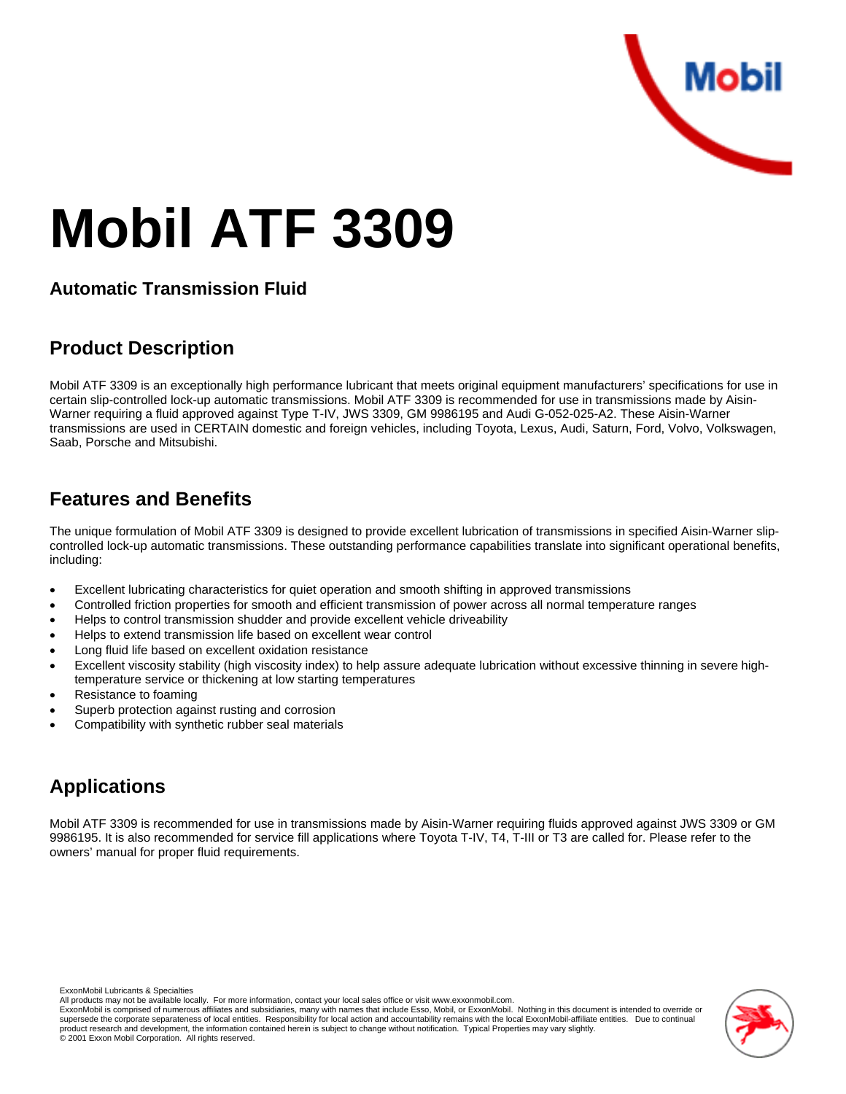

# **Mobil ATF 3309**

#### **Automatic Transmission Fluid**

#### **Product Description**

Mobil ATF 3309 is an exceptionally high performance lubricant that meets original equipment manufacturers' specifications for use in certain slip-controlled lock-up automatic transmissions. Mobil ATF 3309 is recommended for use in transmissions made by Aisin-Warner requiring a fluid approved against Type T-IV, JWS 3309, GM 9986195 and Audi G-052-025-A2. These Aisin-Warner transmissions are used in CERTAIN domestic and foreign vehicles, including Toyota, Lexus, Audi, Saturn, Ford, Volvo, Volkswagen, Saab, Porsche and Mitsubishi.

## **Features and Benefits**

The unique formulation of Mobil ATF 3309 is designed to provide excellent lubrication of transmissions in specified Aisin-Warner slipcontrolled lock-up automatic transmissions. These outstanding performance capabilities translate into significant operational benefits, including:

- Excellent lubricating characteristics for quiet operation and smooth shifting in approved transmissions
- Controlled friction properties for smooth and efficient transmission of power across all normal temperature ranges
- Helps to control transmission shudder and provide excellent vehicle driveability
- Helps to extend transmission life based on excellent wear control
- Long fluid life based on excellent oxidation resistance
- Excellent viscosity stability (high viscosity index) to help assure adequate lubrication without excessive thinning in severe hightemperature service or thickening at low starting temperatures
- Resistance to foaming
- Superb protection against rusting and corrosion
- Compatibility with synthetic rubber seal materials

## **Applications**

Mobil ATF 3309 is recommended for use in transmissions made by Aisin-Warner requiring fluids approved against JWS 3309 or GM 9986195. It is also recommended for service fill applications where Toyota T-IV, T4, T-III or T3 are called for. Please refer to the owners' manual for proper fluid requirements.

ExxonMobil Lubricants & Specialties

All products may not be available locally. For more information, contact your local sales office or visit www.exxonmobil.com.

ExxonMobil is comprised of numerous affiliates and subsidiaries, many with names that include Esso, Mobil, or ExxonMobil. Nothing in this document is intended to override or supersede the corporate separateness of local entities. Responsibility for local action and accountability remains with the local ExxonMobil-affiliate entities. Due to continual product research and development, the information contained herein is subject to change without notification. Typical Properties may vary slightly.<br>© 2001 Exxon Mobil Corporation. All rights reserved.